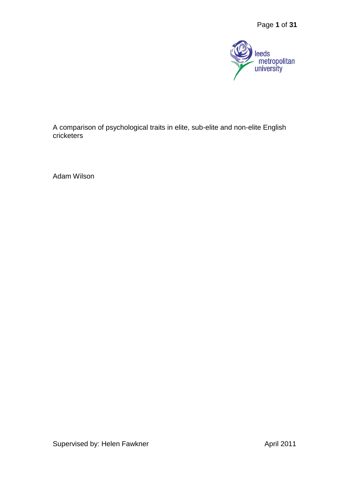

A comparison of psychological traits in elite, sub-elite and non-elite English cricketers

Adam Wilson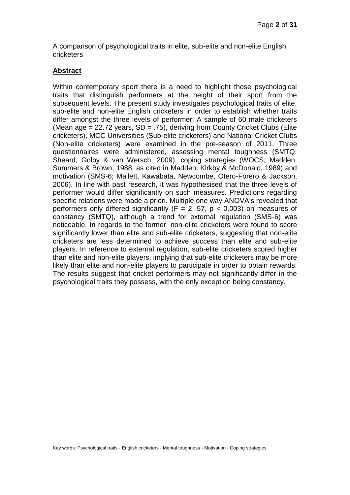A comparison of psychological traits in elite, sub-elite and non-elite English cricketers

#### **Abstract**

Within contemporary sport there is a need to highlight those psychological traits that distinguish performers at the height of their sport from the subsequent levels. The present study investigates psychological traits of elite, sub-elite and non-elite English cricketers in order to establish whether traits differ amongst the three levels of performer. A sample of 60 male cricketers (Mean age  $= 22.72$  years, SD  $= .75$ ), deriving from County Cricket Clubs (Elite cricketers), MCC Universities (Sub-elite cricketers) and National Cricket Clubs (Non-elite cricketers) were examined in the pre-season of 2011. Three questionnaires were administered, assessing mental toughness (SMTQ; Sheard, Golby & van Wersch, 2009), coping strategies (WOCS; Madden, Summers & Brown, 1988, as cited in Madden, Kirkby & McDonald, 1989) and motivation (SMS-6; Mallett, Kawabata, Newcombe, Otero-Forero & Jackson, 2006). In line with past research, it was hypothesised that the three levels of performer would differ significantly on such measures. Predictions regarding specific relations were made a priori. Multiple one way ANOVA's revealed that performers only differed significantly  $(F = 2, 57, p < 0.003)$  on measures of constancy (SMTQ), although a trend for external regulation (SMS-6) was noticeable. In regards to the former, non-elite cricketers were found to score significantly lower than elite and sub-elite cricketers, suggesting that non-elite cricketers are less determined to achieve success than elite and sub-elite players. In reference to external regulation, sub-elite cricketers scored higher than elite and non-elite players, implying that sub-elite cricketers may be more likely than elite and non-elite players to participate in order to obtain rewards. The results suggest that cricket performers may not significantly differ in the psychological traits they possess, with the only exception being constancy.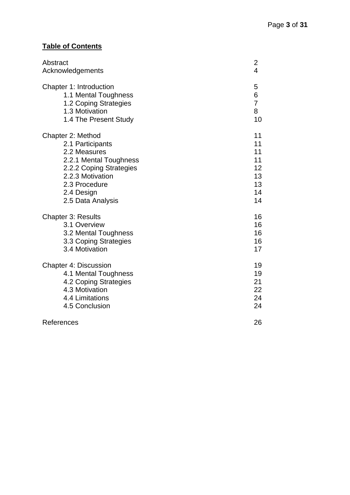# **Table of Contents**

| Abstract                     | $\overline{\mathbf{c}}$ |
|------------------------------|-------------------------|
| Acknowledgements             | 4                       |
| Chapter 1: Introduction      | 5                       |
| 1.1 Mental Toughness         | 6                       |
| 1.2 Coping Strategies        | $\overline{7}$          |
| 1.3 Motivation               | 8                       |
| 1.4 The Present Study        | 10                      |
| Chapter 2: Method            | 11                      |
| 2.1 Participants             | 11                      |
| 2.2 Measures                 | 11                      |
| 2.2.1 Mental Toughness       | 11                      |
| 2.2.2 Coping Strategies      | 12                      |
| 2.2.3 Motivation             | 13                      |
| 2.3 Procedure                | 13                      |
| 2.4 Design                   | 14                      |
| 2.5 Data Analysis            | 14                      |
| <b>Chapter 3: Results</b>    | 16                      |
| 3.1 Overview                 | 16                      |
| 3.2 Mental Toughness         | 16                      |
| 3.3 Coping Strategies        | 16                      |
| 3.4 Motivation               | 17                      |
| <b>Chapter 4: Discussion</b> | 19                      |
| 4.1 Mental Toughness         | 19                      |
| 4.2 Coping Strategies        | 21                      |
| 4.3 Motivation               | 22                      |
| 4.4 Limitations              | 24                      |
| 4.5 Conclusion               | 24                      |
| References                   | 26                      |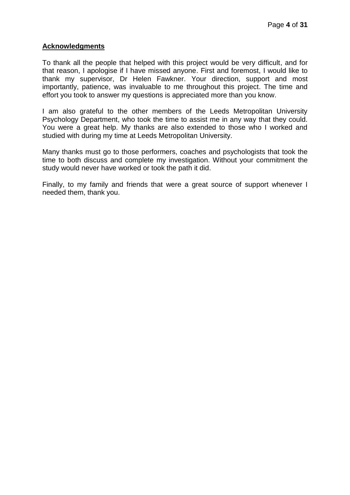#### **Acknowledgments**

To thank all the people that helped with this project would be very difficult, and for that reason, I apologise if I have missed anyone. First and foremost, I would like to thank my supervisor, Dr Helen Fawkner. Your direction, support and most importantly, patience, was invaluable to me throughout this project. The time and effort you took to answer my questions is appreciated more than you know.

I am also grateful to the other members of the Leeds Metropolitan University Psychology Department, who took the time to assist me in any way that they could. You were a great help. My thanks are also extended to those who I worked and studied with during my time at Leeds Metropolitan University.

Many thanks must go to those performers, coaches and psychologists that took the time to both discuss and complete my investigation. Without your commitment the study would never have worked or took the path it did.

Finally, to my family and friends that were a great source of support whenever I needed them, thank you.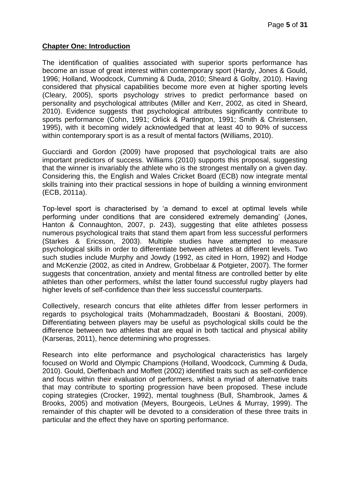### **Chapter One: Introduction**

The identification of qualities associated with superior sports performance has become an issue of great interest within contemporary sport (Hardy, Jones & Gould, 1996; Holland, Woodcock, Cumming & Duda, 2010; Sheard & Golby, 2010). Having considered that physical capabilities become more even at higher sporting levels (Cleary, 2005), sports psychology strives to predict performance based on personality and psychological attributes (Miller and Kerr, 2002, as cited in Sheard, 2010). Evidence suggests that psychological attributes significantly contribute to sports performance (Cohn, 1991; Orlick & Partington, 1991; Smith & Christensen, 1995), with it becoming widely acknowledged that at least 40 to 90% of success within contemporary sport is as a result of mental factors (Williams, 2010).

Gucciardi and Gordon (2009) have proposed that psychological traits are also important predictors of success. Williams (2010) supports this proposal, suggesting that the winner is invariably the athlete who is the strongest mentally on a given day. Considering this, the English and Wales Cricket Board (ECB) now integrate mental skills training into their practical sessions in hope of building a winning environment (ECB, 2011a).

Top-level sport is characterised by 'a demand to excel at optimal levels while performing under conditions that are considered extremely demanding' (Jones, Hanton & Connaughton, 2007, p. 243), suggesting that elite athletes possess numerous psychological traits that stand them apart from less successful performers (Starkes & Ericsson, 2003). Multiple studies have attempted to measure psychological skills in order to differentiate between athletes at different levels. Two such studies include Murphy and Jowdy (1992, as cited in Horn, 1992) and Hodge and McKenzie (2002, as cited in Andrew, Grobbelaar & Potgieter, 2007). The former suggests that concentration, anxiety and mental fitness are controlled better by elite athletes than other performers, whilst the latter found successful rugby players had higher levels of self-confidence than their less successful counterparts.

Collectively, research concurs that elite athletes differ from lesser performers in regards to psychological traits (Mohammadzadeh, Boostani & Boostani, 2009). Differentiating between players may be useful as psychological skills could be the difference between two athletes that are equal in both tactical and physical ability (Karseras, 2011), hence determining who progresses.

Research into elite performance and psychological characteristics has largely focused on World and Olympic Champions (Holland, Woodcock, Cumming & Duda, 2010). Gould, Dieffenbach and Moffett (2002) identified traits such as self-confidence and focus within their evaluation of performers, whilst a myriad of alternative traits that may contribute to sporting progression have been proposed. These include coping strategies (Crocker, 1992), mental toughness (Bull, Shambrook, James & Brooks, 2005) and motivation [\(Meyers,](javascript:__doLinkPostBack() [Bourgeois,](javascript:__doLinkPostBack() [LeUnes](javascript:__doLinkPostBack() & [Murray,](javascript:__doLinkPostBack() 1999). The remainder of this chapter will be devoted to a consideration of these three traits in particular and the effect they have on sporting performance.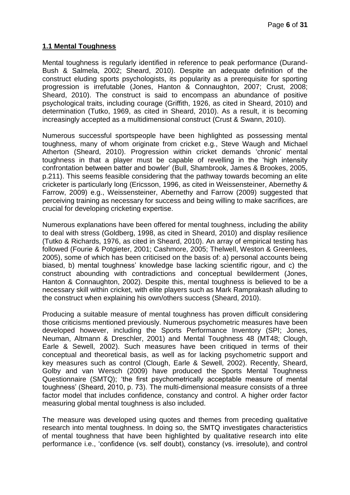### **1.1 Mental Toughness**

Mental toughness is regularly identified in reference to peak performance (Durand-Bush & Salmela, 2002; Sheard, 2010). Despite an adequate definition of the construct eluding sports psychologists, its popularity as a prerequisite for sporting progression is irrefutable (Jones, Hanton & Connaughton, 2007; Crust, 2008; Sheard, 2010). The construct is said to encompass an abundance of positive psychological traits, including courage (Griffith, 1926, as cited in Sheard, 2010) and determination (Tutko, 1969, as cited in Sheard, 2010). As a result, it is becoming increasingly accepted as a multidimensional construct (Crust & Swann, 2010).

Numerous successful sportspeople have been highlighted as possessing mental toughness, many of whom originate from cricket e.g., Steve Waugh and Michael Atherton (Sheard, 2010). Progression within cricket demands 'chronic' mental toughness in that a player must be capable of revelling in the 'high intensity confrontation between batter and bowler' (Bull, Shambrook, James & Brookes, 2005, p.211). This seems feasible considering that the pathway towards becoming an elite cricketer is particularly long (Ericsson, 1996, as cited in Weissensteiner, Abernethy & Farrow, 2009) e.g., Weissensteiner, Abernethy and Farrow (2009) suggested that perceiving training as necessary for success and being willing to make sacrifices, are crucial for developing cricketing expertise.

Numerous explanations have been offered for mental toughness, including the ability to deal with stress (Goldberg, 1998, as cited in Sheard, 2010) and display resilience (Tutko & Richards, 1976, as cited in Sheard, 2010). An array of empirical testing has followed (Fourie & Potgieter, 2001; Cashmore, 2005; Thelwell, Weston & Greenlees, 2005), some of which has been criticised on the basis of: a) personal accounts being biased, b) mental toughness' knowledge base lacking scientific rigour, and c) the construct abounding with contradictions and conceptual bewilderment (Jones, Hanton & Connaughton, 2002). Despite this, mental toughness is believed to be a necessary skill within cricket, with elite players such as Mark Ramprakash alluding to the construct when explaining his own/others success (Sheard, 2010).

Producing a suitable measure of mental toughness has proven difficult considering those criticisms mentioned previously. Numerous psychometric measures have been developed however, including the Sports Performance Inventory (SPI; Jones, Neuman, Altmann & Dreschler, 2001) and Mental Toughness 48 (MT48; Clough, Earle & Sewell, 2002). Such measures have been critiqued in terms of their conceptual and theoretical basis, as well as for lacking psychometric support and key measures such as control (Clough, Earle & Sewell, 2002). Recently, Sheard, Golby and van Wersch (2009) have produced the Sports Mental Toughness Questionnaire (SMTQ); 'the first psychometrically acceptable measure of mental toughness' (Sheard, 2010, p. 73). The multi-dimensional measure consists of a three factor model that includes confidence, constancy and control. A higher order factor measuring global mental toughness is also included.

The measure was developed using quotes and themes from preceding qualitative research into mental toughness. In doing so, the SMTQ investigates characteristics of mental toughness that have been highlighted by qualitative research into elite performance i.e., 'confidence (vs. self doubt), constancy (vs. irresolute), and control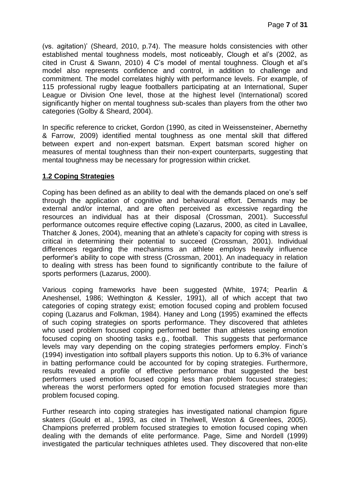(vs. agitation)' (Sheard, 2010, p.74). The measure holds consistencies with other established mental toughness models, most noticeably, Clough et al's (2002, as cited in Crust & Swann, 2010) 4 C's model of mental toughness. Clough et al's model also represents confidence and control, in addition to challenge and commitment. The model correlates highly with performance levels. For example, of 115 professional rugby league footballers participating at an International, Super League or Division One level, those at the highest level (International) scored significantly higher on mental toughness sub-scales than players from the other two categories (Golby & Sheard, 2004).

In specific reference to cricket, Gordon (1990, as cited in Weissensteiner, Abernethy & Farrow, 2009) identified mental toughness as one mental skill that differed between expert and non-expert batsman. Expert batsman scored higher on measures of mental toughness than their non-expert counterparts, suggesting that mental toughness may be necessary for progression within cricket.

#### **1.2 Coping Strategies**

Coping has been defined as an ability to deal with the demands placed on one's self through the application of cognitive and behavioural effort. Demands may be external and/or internal, and are often perceived as excessive regarding the resources an individual has at their disposal (Crossman, 2001). Successful performance outcomes require effective coping (Lazarus, 2000, as cited in Lavallee, Thatcher & Jones, 2004), meaning that an athlete's capacity for coping with stress is critical in determining their potential to succeed (Crossman, 2001). Individual differences regarding the mechanisms an athlete employs heavily influence performer's ability to cope with stress (Crossman, 2001). An inadequacy in relation to dealing with stress has been found to significantly contribute to the failure of sports performers (Lazarus, 2000).

Various coping frameworks have been suggested (White, 1974; Pearlin & Aneshensel, 1986; Wethington & Kessler, 1991), all of which accept that two categories of coping strategy exist; emotion focused coping and problem focused coping (Lazarus and Folkman, 1984). Haney and Long (1995) examined the effects of such coping strategies on sports performance. They discovered that athletes who used problem focused coping performed better than athletes useing emotion focused coping on shooting tasks e.g., football. This suggests that performance levels may vary depending on the coping strategies performers employ. Finch's (1994) investigation into softball players supports this notion. Up to 6.3% of variance in batting performance could be accounted for by coping strategies. Furthermore, results revealed a profile of effective performance that suggested the best performers used emotion focused coping less than problem focused strategies; whereas the worst performers opted for emotion focused strategies more than problem focused coping.

Further research into coping strategies has investigated national champion figure skaters (Gould et al., 1993, as cited in Thelwell, Weston & Greenlees, 2005). Champions preferred problem focused strategies to emotion focused coping when dealing with the demands of elite performance. Page, Sime and Nordell (1999) investigated the particular techniques athletes used. They discovered that non-elite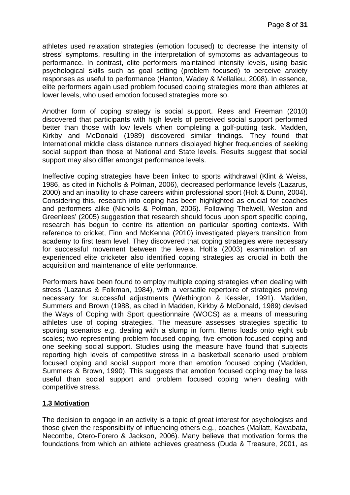athletes used relaxation strategies (emotion focused) to decrease the intensity of stress' symptoms, resulting in the interpretation of symptoms as advantageous to performance. In contrast, elite performers maintained intensity levels, using basic psychological skills such as goal setting (problem focused) to perceive anxiety responses as useful to performance (Hanton, Wadey & Mellalieu, 2008). In essence, elite performers again used problem focused coping strategies more than athletes at lower levels, who used emotion focused strategies more so.

Another form of coping strategy is social support. Rees and Freeman (2010) discovered that participants with high levels of perceived social support performed better than those with low levels when completing a golf-putting task. Madden, Kirkby and McDonald (1989) discovered similar findings. They found that International middle class distance runners displayed higher frequencies of seeking social support than those at National and State levels. Results suggest that social support may also differ amongst performance levels.

Ineffective coping strategies have been linked to sports withdrawal (Klint & Weiss, 1986, as cited in Nicholls & Polman, 2006), decreased performance levels (Lazarus, 2000) and an inability to chase careers within professional sport (Holt & Dunn, 2004). Considering this, research into coping has been highlighted as crucial for coaches and performers alike (Nicholls & Polman, 2006). Following Thelwell, Weston and Greenlees' (2005) suggestion that research should focus upon sport specific coping. research has begun to centre its attention on particular sporting contexts. With reference to cricket, Finn and McKenna (2010) investigated players transition from academy to first team level. They discovered that coping strategies were necessary for successful movement between the levels. Holt's (2003) examination of an experienced elite cricketer also identified coping strategies as crucial in both the acquisition and maintenance of elite performance.

Performers have been found to employ multiple coping strategies when dealing with stress (Lazarus & Folkman, 1984), with a versatile repertoire of strategies proving necessary for successful adjustments (Wethington & Kessler, 1991). Madden, Summers and Brown (1988, as cited in Madden, Kirkby & McDonald, 1989) devised the Ways of Coping with Sport questionnaire (WOCS) as a means of measuring athletes use of coping strategies. The measure assesses strategies specific to sporting scenarios e.g. dealing with a slump in form. Items loads onto eight sub scales; two representing problem focused coping, five emotion focused coping and one seeking social support. Studies using the measure have found that subjects reporting high levels of competitive stress in a basketball scenario used problem focused coping and social support more than emotion focused coping (Madden, Summers & Brown, 1990). This suggests that emotion focused coping may be less useful than social support and problem focused coping when dealing with competitive stress.

# **1.3 Motivation**

The decision to engage in an activity is a topic of great interest for psychologists and those given the responsibility of influencing others e.g., coaches (Mallatt, Kawabata, Necombe, Otero-Forero & Jackson, 2006). Many believe that motivation forms the foundations from which an athlete achieves greatness (Duda & Treasure, 2001, as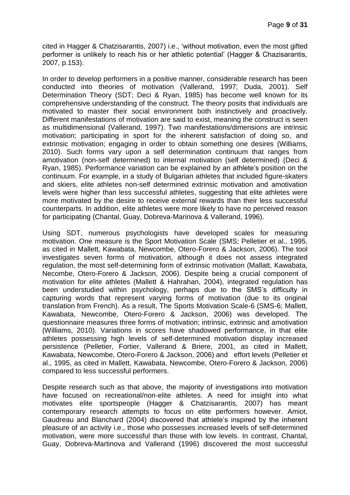cited in Hagger & Chatzisarantis, 2007) i.e., 'without motivation, even the most gifted performer is unlikely to reach his or her athletic potential' (Hagger & Chazisarantis, 2007, p.153).

In order to develop performers in a positive manner, considerable research has been conducted into theories of motivation (Vallerand, 1997; Duda, 2001). Self Determination Theory (SDT; Deci & Ryan, 1985) has become well known for its comprehensive understanding of the construct. The theory posits that individuals are motivated to master their social environment both instinctively and proactively. Different manifestations of motivation are said to exist, meaning the construct is seen as multidimensional (Vallerand, 1997). Two manifestations/dimensions are intrinsic motivation; participating in sport for the inherent satisfaction of doing so, and extrinsic motivation; engaging in order to obtain something one desires (Williams, 2010). Such forms vary upon a self determination continuum that ranges from amotivation (non-self determined) to internal motivation (self determined) (Deci & Ryan, 1985). Performance variation can be explained by an athlete's position on the continuum. For example, in a study of Bulgarian athletes that included figure-skaters and skiers, elite athletes non-self determined extrinsic motivation and amotivation levels were higher than less successful athletes, suggesting that elite athletes were more motivated by the desire to receive external rewards than their less successful counterparts. In addition, elite athletes were more likely to have no perceived reason for participating (Chantal, Guay, Dobreva-Marinova & Vallerand, 1996).

Using SDT, numerous psychologists have developed scales for measuring motivation. One measure is the Sport Motivation Scale (SMS; Pelletier et al., 1995, as cited in Mallett, Kawabata, Newcombe, Otero-Forero & Jackson, 2006). The tool investigates seven forms of motivation, although it does not assess integrated regulation, the most self-determining form of extrinsic motivation (Mallatt, Kawabata, Necombe, Otero-Forero & Jackson, 2006). Despite being a crucial component of motivation for elite athletes (Mallett & Hahrahan, 2004), integrated regulation has been understudied within psychology, perhaps due to the SMS's difficulty in capturing words that represent varying forms of motivation (due to its original translation from French). As a result, The Sports Motivation Scale-6 (SMS-6; Mallett, Kawabata, Newcombe, Otero-Forero & Jackson, 2006) was developed. The questionnaire measures three forms of motivation; intrinsic, extrinsic and amotivation (Williams, 2010). Variations in scores have shadowed performance, in that elite athletes possessing high levels of self-determined motivation display increased persistence (Pelletier, Fortier, Vallerand & Briere, 2001, as cited in Mallett, Kawabata, Newcombe, Otero-Forero & Jackson, 2006) and effort levels (Pelletier et al., 1995, as cited in Mallett, Kawabata, Newcombe, Otero-Forero & Jackson, 2006) compared to less successful performers.

Despite research such as that above, the majority of investigations into motivation have focused on recreational/non-elite athletes. A need for insight into what motivates elite sportspeople (Hagger & Chatzisarantis, 2007) has meant contemporary research attempts to focus on elite performers however. Amiot, Gaudreau and Blanchard (2004) discovered that athlete's inspired by the inherent pleasure of an activity i.e., those who possesses increased levels of self-determined motivation, were more successful than those with low levels. In contrast, Chantal, Guay, Dobreva-Martinova and Vallerand (1996) discovered the most successful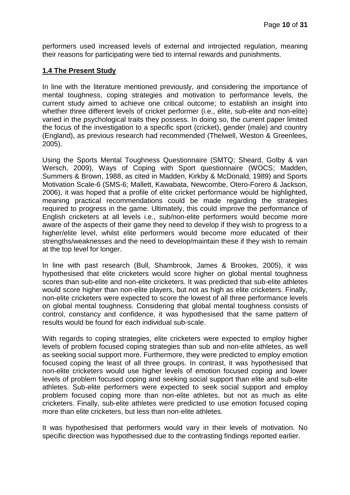performers used increased levels of external and introjected regulation, meaning their reasons for participating were tied to internal rewards and punishments.

### **1.4 The Present Study**

In line with the literature mentioned previously, and considering the importance of mental toughness, coping strategies and motivation to performance levels, the current study aimed to achieve one critical outcome; to establish an insight into whether three different levels of cricket performer (i.e., elite, sub-elite and non-elite) varied in the psychological traits they possess. In doing so, the current paper limited the focus of the investigation to a specific sport (cricket), gender (male) and country (England), as previous research had recommended (Thelwell, Weston & Greenlees, 2005).

Using the Sports Mental Toughness Questionnaire (SMTQ; Sheard, Golby & van Wersch, 2009), Ways of Coping with Sport questionnaire (WOCS; Madden, Summers & Brown, 1988, as cited in Madden, Kirkby & McDonald, 1989) and Sports Motivation Scale-6 (SMS-6; Mallett, Kawabata, Newcombe, Otero-Forero & Jackson, 2006), it was hoped that a profile of elite cricket performance would be highlighted, meaning practical recommendations could be made regarding the strategies required to progress in the game. Ultimately, this could improve the performance of English cricketers at all levels i.e., sub/non-elite performers would become more aware of the aspects of their game they need to develop if they wish to progress to a higher/elite level, whilst elite performers would become more educated of their strengths/weaknesses and the need to develop/maintain these if they wish to remain at the top level for longer.

In line with past research (Bull, Shambrook, James & Brookes, 2005), it was hypothesised that elite cricketers would score higher on global mental toughness scores than sub-elite and non-elite cricketers. It was predicted that sub-elite athletes would score higher than non-elite players, but not as high as elite cricketers. Finally, non-elite cricketers were expected to score the lowest of all three performance levels on global mental toughness. Considering that global mental toughness consists of control, constancy and confidence, it was hypothesised that the same pattern of results would be found for each individual sub-scale.

With regards to coping strategies, elite cricketers were expected to employ higher levels of problem focused coping strategies than sub and non-elite athletes, as well as seeking social support more. Furthermore, they were predicted to employ emotion focused coping the least of all three groups. In contrast, it was hypothesised that non-elite cricketers would use higher levels of emotion focused coping and lower levels of problem focused coping and seeking social support than elite and sub-elite athletes. Sub-elite performers were expected to seek social support and employ problem focused coping more than non-elite athletes, but not as much as elite cricketers. Finally, sub-elite athletes were predicted to use emotion focused coping more than elite cricketers, but less than non-elite athletes.

It was hypothesised that performers would vary in their levels of motivation. No specific direction was hypothesised due to the contrasting findings reported earlier.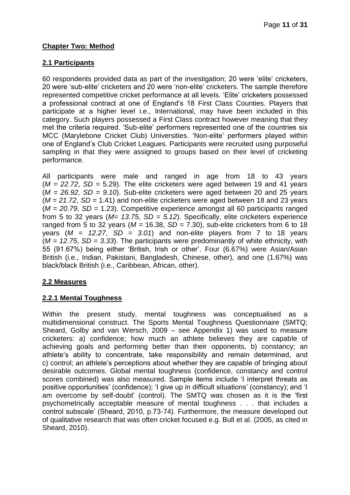# **Chapter Two: Method**

# **2.1 Participants**

60 respondents provided data as part of the investigation; 20 were 'elite' cricketers, 20 were 'sub-elite' cricketers and 20 were 'non-elite' cricketers. The sample therefore represented competitive cricket performance at all levels. 'Elite' cricketers possessed a professional contract at one of England's 18 First Class Counties. Players that participate at a higher level i.e., International, may have been included in this category. Such players possessed a First Class contract however meaning that they met the criteria required. 'Sub-elite' performers represented one of the countries six MCC (Marylebone Cricket Club) Universities. 'Non-elite' performers played within one of England's Club Cricket Leagues. Participants were recruited using purposeful sampling in that they were assigned to groups based on their level of cricketing performance.

All participants were male and ranged in age from 18 to 43 years  $(M = 22.72, SD = 5.29)$ . The elite cricketers were aged between 19 and 41 years (*M = 26.92, SD = 9.10*). Sub-elite cricketers were aged between 20 and 25 years (*M = 21.72*, *SD =* 1.41) and non-elite cricketers were aged between 18 and 23 years (*M = 20.79*, *SD =* 1.23). Competitive experience amongst all 60 participants ranged from 5 to 32 years (*M= 13.75*, *SD = 5.12*). Specifically, elite cricketers experience ranged from 5 to 32 years (*M =* 16.38, *SD =* 7.30), sub-elite cricketers from 6 to 18 years (*M = 12.27*, *SD = 3.01*) and non-elite players from 7 to 18 years (*M = 12.75*, *SD = 3.33*). The participants were predominantly of white ethnicity, with 55 (91.67%) being either 'British, Irish or other'. Four (6.67%) were Asian/Asian British (i.e., Indian, Pakistani, Bangladesh, Chinese, other), and one (1.67%) was black/black British (i.e., Caribbean, African, other).

# **2.2 Measures**

#### **2.2.1 Mental Toughness**

Within the present study, mental toughness was conceptualised as a multidimensional construct. The Sports Mental Toughness Questionnaire (SMTQ; Sheard, Golby and van Wersch, 2009 – see Appendix 1) was used to measure cricketers: a) confidence; how much an athlete believes they are capable of achieving goals and performing better than their opponents, b) constancy; an athlete's ability to concentrate, take responsibility and remain determined, and c) control; an athlete's perceptions about whether they are capable of bringing about desirable outcomes. Global mental toughness (confidence, constancy and control scores combined) was also measured. Sample items include 'I interpret threats as positive opportunities' (confidence); 'I give up in difficult situations' (constancy); and 'I am overcome by self-doubt' (control). The SMTQ was chosen as it is the 'first psychometrically acceptable measure of mental toughness . . . that includes a control subscale' (Sheard, 2010, p.73-74). Furthermore, the measure developed out of qualitative research that was often cricket focused e.g. Bull et al. (2005, as cited in Sheard, 2010).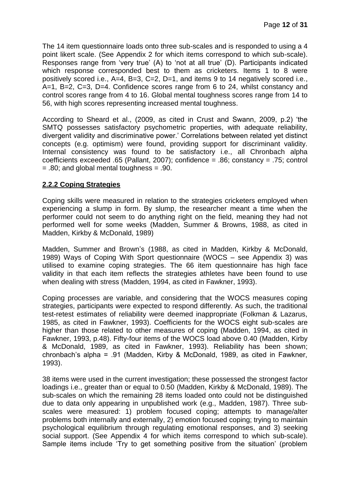The 14 item questionnaire loads onto three sub-scales and is responded to using a 4 point likert scale. (See Appendix 2 for which items correspond to which sub-scale). Responses range from 'very true' (A) to 'not at all true' (D). Participants indicated which response corresponded best to them as cricketers. Items 1 to 8 were positively scored i.e., A=4, B=3, C=2, D=1, and items 9 to 14 negatively scored i.e., A=1, B=2, C=3, D=4. Confidence scores range from 6 to 24, whilst constancy and control scores range from 4 to 16. Global mental toughness scores range from 14 to 56, with high scores representing increased mental toughness.

According to Sheard et al., (2009, as cited in Crust and Swann, 2009, p.2) 'the SMTQ possesses satisfactory psychometric properties, with adequate reliability, divergent validity and discriminative power.' Correlations between related yet distinct concepts (e.g. optimism) were found, providing support for discriminant validity. Internal consistency was found to be satisfactory i.e., all Chronbach alpha coefficients exceeded .65 (Pallant, 2007); confidence = .86; constancy = .75; control  $= .80$ ; and global mental toughness  $= .90$ .

### **2.2.2 Coping Strategies**

Coping skills were measured in relation to the strategies cricketers employed when experiencing a slump in form. By slump, the researcher meant a time when the performer could not seem to do anything right on the field, meaning they had not performed well for some weeks (Madden, Summer & Browns, 1988, as cited in Madden, Kirkby & McDonald, 1989)

Madden, Summer and Brown's (1988, as cited in Madden, Kirkby & McDonald, 1989) Ways of Coping With Sport questionnaire (WOCS – see Appendix 3) was utilised to examine coping strategies. The 66 item questionnaire has high face validity in that each item reflects the strategies athletes have been found to use when dealing with stress (Madden, 1994, as cited in Fawkner, 1993).

Coping processes are variable, and considering that the WOCS measures coping strategies, participants were expected to respond differently. As such, the traditional test-retest estimates of reliability were deemed inappropriate (Folkman & Lazarus, 1985, as cited in Fawkner, 1993). Coefficients for the WOCS eight sub-scales are higher than those related to other measures of coping (Madden, 1994, as cited in Fawkner, 1993, p.48). Fifty-four items of the WOCS load above 0.40 (Madden, Kirby & McDonald, 1989, as cited in Fawkner, 1993). Reliability has been shown; chronbach's alpha = .91 (Madden, Kirby & McDonald, 1989, as cited in Fawkner, 1993).

38 items were used in the current investigation; these possessed the strongest factor loadings i.e., greater than or equal to 0.50 (Madden, Kirkby & McDonald, 1989). The sub-scales on which the remaining 28 items loaded onto could not be distinguished due to data only appearing in unpublished work (e.g., Madden, 1987). Three subscales were measured: 1) problem focused coping; attempts to manage/alter problems both internally and externally, 2) emotion focused coping; trying to maintain psychological equilibrium through regulating emotional responses, and 3) seeking social support. (See Appendix 4 for which items correspond to which sub-scale). Sample items include 'Try to get something positive from the situation' (problem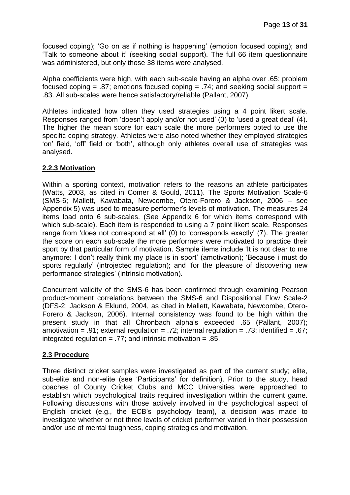focused coping); 'Go on as if nothing is happening' (emotion focused coping); and 'Talk to someone about it' (seeking social support). The full 66 item questionnaire was administered, but only those 38 items were analysed.

Alpha coefficients were high, with each sub-scale having an alpha over .65; problem focused coping =  $.87$ ; emotions focused coping =  $.74$ ; and seeking social support = .83. All sub-scales were hence satisfactory/reliable (Pallant, 2007).

Athletes indicated how often they used strategies using a 4 point likert scale. Responses ranged from 'doesn't apply and/or not used' (0) to 'used a great deal' (4). The higher the mean score for each scale the more performers opted to use the specific coping strategy. Athletes were also noted whether they employed strategies 'on' field, 'off' field or 'both', although only athletes overall use of strategies was analysed.

### **2.2.3 Motivation**

Within a sporting context, motivation refers to the reasons an athlete participates (Watts, 2003, as cited in Comer & Gould, 2011). The Sports Motivation Scale-6 (SMS-6; Mallett, Kawabata, Newcombe, Otero-Forero & Jackson, 2006 – see Appendix 5) was used to measure performer's levels of motivation. The measures 24 items load onto 6 sub-scales. (See Appendix 6 for which items correspond with which sub-scale). Each item is responded to using a 7 point likert scale. Responses range from 'does not correspond at all' (0) to 'corresponds exactly' (7). The greater the score on each sub-scale the more performers were motivated to practice their sport by that particular form of motivation. Sample items include 'It is not clear to me anymore: I don't really think my place is in sport' (amotivation); 'Because i must do sports regularly' (introjected regulation); and 'for the pleasure of discovering new performance strategies' (intrinsic motivation).

Concurrent validity of the SMS-6 has been confirmed through examining Pearson product-moment correlations between the SMS-6 and Dispositional Flow Scale-2 (DFS-2; Jackson & Eklund, 2004, as cited in Mallett, Kawabata, Newcombe, Otero-Forero & Jackson, 2006). Internal consistency was found to be high within the present study in that all Chronbach alpha's exceeded .65 (Pallant, 2007); amotivation = .91; external regulation = .72; internal regulation = .73; identified = .67; integrated regulation = .77; and intrinsic motivation = .85.

### **2.3 Procedure**

Three distinct cricket samples were investigated as part of the current study; elite, sub-elite and non-elite (see 'Participants' for definition). Prior to the study, head coaches of County Cricket Clubs and MCC Universities were approached to establish which psychological traits required investigation within the current game. Following discussions with those actively involved in the psychological aspect of English cricket (e.g., the ECB's psychology team), a decision was made to investigate whether or not three levels of cricket performer varied in their possession and/or use of mental toughness, coping strategies and motivation.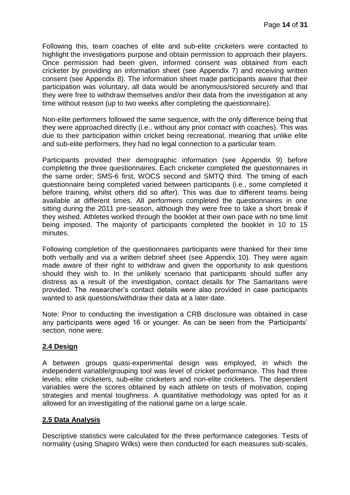Following this, team coaches of elite and sub-elite cricketers were contacted to highlight the investigations purpose and obtain permission to approach their players. Once permission had been given, informed consent was obtained from each cricketer by providing an information sheet (see Appendix 7) and receiving written consent (see Appendix 8). The information sheet made participants aware that their participation was voluntary, all data would be anonymous/stored securely and that they were free to withdraw themselves and/or their data from the investigation at any time without reason (up to two weeks after completing the questionnaire).

Non-elite performers followed the same sequence, with the only difference being that they were approached directly (i.e., without any prior contact with coaches). This was due to their participation within cricket being recreational, meaning that unlike elite and sub-elite performers, they had no legal connection to a particular team.

Participants provided their demographic information (see Appendix 9) before completing the three questionnaires. Each cricketer completed the questionnaires in the same order; SMS-6 first, WOCS second and SMTQ third. The timing of each questionnaire being completed varied between participants (i.e., some completed it before training, whilst others did so after). This was due to different teams being available at different times. All performers completed the questionnaires in one sitting during the 2011 pre-season, although they were free to take a short break if they wished. Athletes worked through the booklet at their own pace with no time limit being imposed. The majority of participants completed the booklet in 10 to 15 minutes.

Following completion of the questionnaires participants were thanked for their time both verbally and via a written debrief sheet (see Appendix 10). They were again made aware of their right to withdraw and given the opportunity to ask questions should they wish to. In the unlikely scenario that participants should suffer any distress as a result of the investigation, contact details for The Samaritans were provided. The researcher's contact details were also provided in case participants wanted to ask questions/withdraw their data at a later date.

Note: Prior to conducting the investigation a CRB disclosure was obtained in case any participants were aged 16 or younger. As can be seen from the 'Participants' section, none were.

# **2.4 Design**

A between groups quasi-experimental design was employed, in which the independent variable/grouping tool was level of cricket performance. This had three levels; elite cricketers, sub-elite cricketers and non-elite cricketers. The dependent variables were the scores obtained by each athlete on tests of motivation, coping strategies and mental toughness. A quantitative methodology was opted for as it allowed for an investigating of the national game on a large scale.

# **2.5 Data Analysis**

Descriptive statistics were calculated for the three performance categories. Tests of normality (using Shapiro Wilks) were then conducted for each measures sub-scales,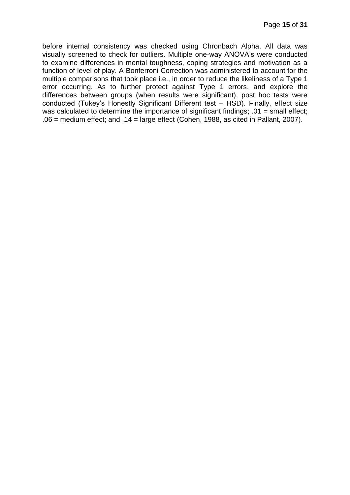before internal consistency was checked using Chronbach Alpha. All data was visually screened to check for outliers. Multiple one-way ANOVA's were conducted to examine differences in mental toughness, coping strategies and motivation as a function of level of play. A Bonferroni Correction was administered to account for the multiple comparisons that took place i.e., in order to reduce the likeliness of a Type 1 error occurring. As to further protect against Type 1 errors, and explore the differences between groups (when results were significant), post hoc tests were conducted (Tukey's Honestly Significant Different test – HSD). Finally, effect size was calculated to determine the importance of significant findings;  $.01$  = small effect;  $.06$  = medium effect; and  $.14$  = large effect (Cohen, 1988, as cited in Pallant, 2007).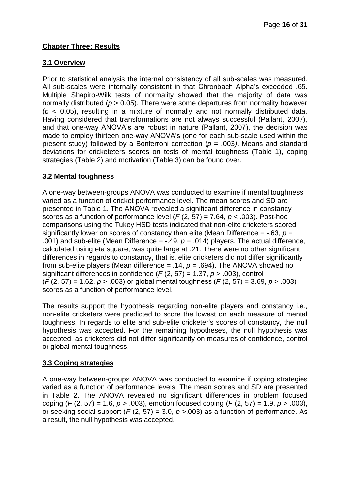# **Chapter Three: Results**

# **3.1 Overview**

Prior to statistical analysis the internal consistency of all sub-scales was measured. All sub-scales were internally consistent in that Chronbach Alpha's exceeded .65. Multiple Shapiro-Wilk tests of normality showed that the majority of data was normally distributed (*p* > 0.05). There were some departures from normality however (*p* < 0.05), resulting in a mixture of normally and not normally distributed data. Having considered that transformations are not always successful (Pallant, 2007), and that one-way ANOVA's are robust in nature (Pallant, 2007), the decision was made to employ thirteen one-way ANOVA's (one for each sub-scale used within the present study) followed by a Bonferroni correction (*p* = .003*)*. Means and standard deviations for cricketeters scores on tests of mental toughness (Table 1), coping strategies (Table 2) and motivation (Table 3) can be found over.

### **3.2 Mental toughness**

A one-way between-groups ANOVA was conducted to examine if mental toughness varied as a function of cricket performance level. The mean scores and SD are presented in Table 1. The ANOVA revealed a significant difference in constancy scores as a function of performance level (*F* (2, 57) = 7.64, *p* < .003). Post-hoc comparisons using the Tukey HSD tests indicated that non-elite cricketers scored significantly lower on scores of constancy than elite (Mean Difference = -.63, *p* = .001) and sub-elite (Mean Difference = -.49, *p* = .014) players. The actual difference, calculated using eta square, was quite large at .21. There were no other significant differences in regards to constancy, that is, elite cricketers did not differ significantly from sub-elite players (Mean difference = .14, *p* = .694). The ANOVA showed no significant differences in confidence (*F* (2, 57) = 1.37, *p* > .003), control (*F* (2, 57) = 1.62, *p* > .003) or global mental toughness (*F* (2, 57) = 3.69, *p* > .003) scores as a function of performance level.

The results support the hypothesis regarding non-elite players and constancy i.e., non-elite cricketers were predicted to score the lowest on each measure of mental toughness. In regards to elite and sub-elite cricketer's scores of constancy, the null hypothesis was accepted. For the remaining hypotheses, the null hypothesis was accepted, as cricketers did not differ significantly on measures of confidence, control or global mental toughness.

# **3.3 Coping strategies**

A one-way between-groups ANOVA was conducted to examine if coping strategies varied as a function of performance levels. The mean scores and SD are presented in Table 2. The ANOVA revealed no significant differences in problem focused coping (*F* (2, 57) = 1.6, *p* > .003), emotion focused coping (*F* (2, 57) = 1.9, *p* > .003), or seeking social support (*F* (2, 57) = 3.0, *p* >.003) as a function of performance. As a result, the null hypothesis was accepted.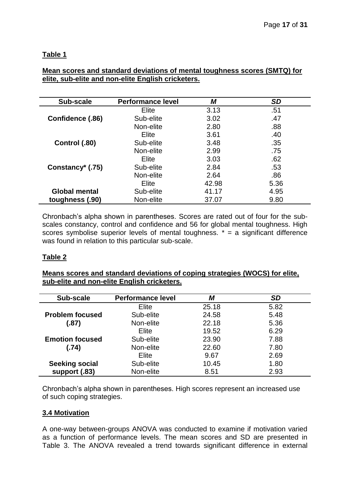# **Table 1**

### **Mean scores and standard deviations of mental toughness scores (SMTQ) for elite, sub-elite and non-elite English cricketers.**

| Sub-scale           | <b>Performance level</b> | М     | <b>SD</b> |
|---------------------|--------------------------|-------|-----------|
|                     | Elite                    | 3.13  | .51       |
| Confidence (.86)    | Sub-elite                | 3.02  | .47       |
|                     | Non-elite                | 2.80  | .88       |
|                     | Elite                    | 3.61  | .40       |
| Control (.80)       | Sub-elite                | 3.48  | .35       |
|                     | Non-elite                | 2.99  | .75       |
|                     | Elite                    | 3.03  | .62       |
| Constancy $*$ (.75) | Sub-elite                | 2.84  | .53       |
|                     | Non-elite                | 2.64  | .86       |
|                     | Elite                    | 42.98 | 5.36      |
| Global mental       | Sub-elite                | 41.17 | 4.95      |
| toughness (.90)     | Non-elite                | 37.07 | 9.80      |

Chronbach's alpha shown in parentheses. Scores are rated out of four for the subscales constancy, control and confidence and 56 for global mental toughness. High scores symbolise superior levels of mental toughness.  $* = a$  significant difference was found in relation to this particular sub-scale.

# **Table 2**

**Means scores and standard deviations of coping strategies (WOCS) for elite, sub-elite and non-elite English cricketers.**

| Sub-scale              | <b>Performance level</b> | М     | <b>SD</b> |
|------------------------|--------------------------|-------|-----------|
|                        | Elite                    | 25.18 | 5.82      |
| <b>Problem focused</b> | Sub-elite                | 24.58 | 5.48      |
| (.87)                  | Non-elite                | 22.18 | 5.36      |
|                        | Elite                    | 19.52 | 6.29      |
| <b>Emotion focused</b> | Sub-elite                | 23.90 | 7.88      |
| (.74)                  | Non-elite                | 22.60 | 7.80      |
|                        | Elite                    | 9.67  | 2.69      |
| <b>Seeking social</b>  | Sub-elite                | 10.45 | 1.80      |
| support (.83)          | Non-elite                | 8.51  | 2.93      |

Chronbach's alpha shown in parentheses. High scores represent an increased use of such coping strategies.

#### **3.4 Motivation**

A one-way between-groups ANOVA was conducted to examine if motivation varied as a function of performance levels. The mean scores and SD are presented in Table 3. The ANOVA revealed a trend towards significant difference in external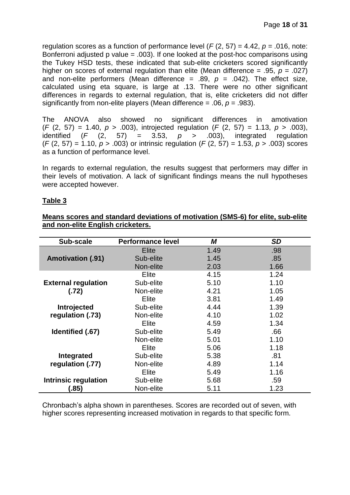regulation scores as a function of performance level (*F* (2, 57) = 4.42, *p =* .016, note: Bonferroni adjusted p value = .003). If one looked at the post-hoc comparisons using the Tukey HSD tests, these indicated that sub-elite cricketers scored significantly higher on scores of external regulation than elite (Mean difference = .95, *p* = .027) and non-elite performers (Mean difference =  $.89, p = .042$ ). The effect size, calculated using eta square, is large at .13. There were no other significant differences in regards to external regulation, that is, elite cricketers did not differ significantly from non-elite players (Mean difference  $= .06$ ,  $p = .983$ ).

The ANOVA also showed no significant differences in amotivation (*F* (2, 57) = 1.40, *p* > .003), introjected regulation (*F* (2, 57) = 1.13, *p* > .003), identified  $(F (2, 57) = 3.53, p > .003)$ , integrated regulation (*F* (2, 57) = 1.10, *p* > .003) or intrinsic regulation (*F* (2, 57) = 1.53, *p* > .003) scores as a function of performance level.

In regards to external regulation, the results suggest that performers may differ in their levels of motivation. A lack of significant findings means the null hypotheses were accepted however.

### **Table 3**

| Means scores and standard deviations of motivation (SMS-6) for elite, sub-elite |  |  |
|---------------------------------------------------------------------------------|--|--|
| and non-elite English cricketers.                                               |  |  |

| Sub-scale                   | <b>Performance level</b> | M    | SD   |
|-----------------------------|--------------------------|------|------|
|                             | Elite                    | 1.49 | .98  |
| <b>Amotivation (.91)</b>    | Sub-elite                | 1.45 | .85  |
|                             | Non-elite                | 2.03 | 1.66 |
|                             | Elite                    | 4.15 | 1.24 |
| <b>External regulation</b>  | Sub-elite                | 5.10 | 1.10 |
| (.72)                       | Non-elite                | 4.21 | 1.05 |
|                             | Elite                    | 3.81 | 1.49 |
| Introjected                 | Sub-elite                | 4.44 | 1.39 |
| regulation (.73)            | Non-elite                | 4.10 | 1.02 |
|                             | Elite                    | 4.59 | 1.34 |
| Identified (.67)            | Sub-elite                | 5.49 | .66  |
|                             | Non-elite                | 5.01 | 1.10 |
|                             | Elite                    | 5.06 | 1.18 |
| Integrated                  | Sub-elite                | 5.38 | .81  |
| regulation (.77)            | Non-elite                | 4.89 | 1.14 |
|                             | Elite                    | 5.49 | 1.16 |
| <b>Intrinsic regulation</b> | Sub-elite                | 5.68 | .59  |
| (.85)                       | Non-elite                | 5.11 | 1.23 |

Chronbach's alpha shown in parentheses. Scores are recorded out of seven, with higher scores representing increased motivation in regards to that specific form.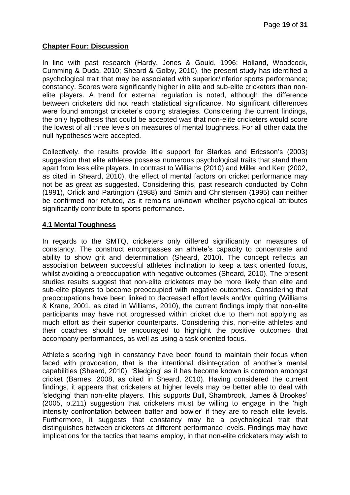### **Chapter Four: Discussion**

In line with past research (Hardy, Jones & Gould, 1996; Holland, Woodcock, Cumming & Duda, 2010; Sheard & Golby, 2010), the present study has identified a psychological trait that may be associated with superior/inferior sports performance; constancy. Scores were significantly higher in elite and sub-elite cricketers than nonelite players. A trend for external regulation is noted, although the difference between cricketers did not reach statistical significance. No significant differences were found amongst cricketer's coping strategies. Considering the current findings, the only hypothesis that could be accepted was that non-elite cricketers would score the lowest of all three levels on measures of mental toughness. For all other data the null hypotheses were accepted.

Collectively, the results provide little support for Starkes and Ericsson's (2003) suggestion that elite athletes possess numerous psychological traits that stand them apart from less elite players. In contrast to Williams (2010) and Miller and Kerr (2002, as cited in Sheard, 2010), the effect of mental factors on cricket performance may not be as great as suggested. Considering this, past research conducted by Cohn (1991), Orlick and Partington (1988) and Smith and Christensen (1995) can neither be confirmed nor refuted, as it remains unknown whether psychological attributes significantly contribute to sports performance.

### **4.1 Mental Toughness**

In regards to the SMTQ, cricketers only differed significantly on measures of constancy. The construct encompasses an athlete's capacity to concentrate and ability to show grit and determination (Sheard, 2010). The concept reflects an association between successful athletes inclination to keep a task oriented focus, whilst avoiding a preoccupation with negative outcomes (Sheard, 2010). The present studies results suggest that non-elite cricketers may be more likely than elite and sub-elite players to become preoccupied with negative outcomes. Considering that preoccupations have been linked to decreased effort levels and/or quitting (Williams & Krane, 2001, as cited in Williams, 2010), the current findings imply that non-elite participants may have not progressed within cricket due to them not applying as much effort as their superior counterparts. Considering this, non-elite athletes and their coaches should be encouraged to highlight the positive outcomes that accompany performances, as well as using a task oriented focus.

Athlete's scoring high in constancy have been found to maintain their focus when faced with provocation, that is the intentional disintegration of another's mental capabilities (Sheard, 2010). 'Sledging' as it has become known is common amongst cricket (Barnes, 2008, as cited in Sheard, 2010). Having considered the current findings, it appears that cricketers at higher levels may be better able to deal with 'sledging' than non-elite players. This supports Bull, Shambrook, James & Brookes' (2005, p.211) suggestion that cricketers must be willing to engage in the 'high intensity confrontation between batter and bowler' if they are to reach elite levels. Furthermore, it suggests that constancy may be a psychological trait that distinguishes between cricketers at different performance levels. Findings may have implications for the tactics that teams employ, in that non-elite cricketers may wish to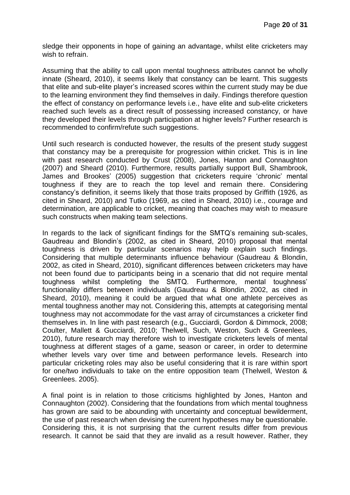sledge their opponents in hope of gaining an advantage, whilst elite cricketers may wish to refrain.

Assuming that the ability to call upon mental toughness attributes cannot be wholly innate (Sheard, 2010), it seems likely that constancy can be learnt. This suggests that elite and sub-elite player's increased scores within the current study may be due to the learning environment they find themselves in daily. Findings therefore question the effect of constancy on performance levels i.e., have elite and sub-elite cricketers reached such levels as a direct result of possessing increased constancy, or have they developed their levels through participation at higher levels? Further research is recommended to confirm/refute such suggestions.

Until such research is conducted however, the results of the present study suggest that constancy may be a prerequisite for progression within cricket. This is in line with past research conducted by Crust (2008), Jones, Hanton and Connaughton (2007) and Sheard (2010). Furthermore, results partially support Bull, Shambrook, James and Brookes' (2005) suggestion that cricketers require 'chronic' mental toughness if they are to reach the top level and remain there. Considering constancy's definition, it seems likely that those traits proposed by Griffith (1926, as cited in Sheard, 2010) and Tutko (1969, as cited in Sheard, 2010) i.e., courage and determination, are applicable to cricket, meaning that coaches may wish to measure such constructs when making team selections.

In regards to the lack of significant findings for the SMTQ's remaining sub-scales, Gaudreau and Blondin's (2002, as cited in Sheard, 2010) proposal that mental toughness is driven by particular scenarios may help explain such findings. Considering that multiple determinants influence behaviour (Gaudreau & Blondin, 2002, as cited in Sheard, 2010), significant differences between cricketers may have not been found due to participants being in a scenario that did not require mental toughness whilst completing the SMTQ. Furthermore, mental toughness' functionality differs between individuals (Gaudreau & Blondin, 2002, as cited in Sheard, 2010), meaning it could be argued that what one athlete perceives as mental toughness another may not. Considering this, attempts at categorising mental toughness may not accommodate for the vast array of circumstances a cricketer find themselves in. In line with past research (e.g., Gucciardi, Gordon & Dimmock, 2008; Coulter, Mallett & Gucciardi, 2010; Thelwell, Such, Weston, Such & Greenlees, 2010), future research may therefore wish to investigate cricketers levels of mental toughness at different stages of a game, season or career, in order to determine whether levels vary over time and between performance levels. Research into particular cricketing roles may also be useful considering that it is rare within sport for one/two individuals to take on the entire opposition team (Thelwell, Weston & Greenlees. 2005).

A final point is in relation to those criticisms highlighted by Jones, Hanton and Connaughton (2002). Considering that the foundations from which mental toughness has grown are said to be abounding with uncertainty and conceptual bewilderment, the use of past research when devising the current hypotheses may be questionable. Considering this, it is not surprising that the current results differ from previous research. It cannot be said that they are invalid as a result however. Rather, they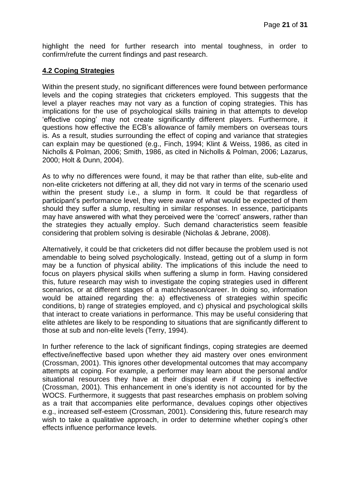highlight the need for further research into mental toughness, in order to confirm/refute the current findings and past research.

### **4.2 Coping Strategies**

Within the present study, no significant differences were found between performance levels and the coping strategies that cricketers employed. This suggests that the level a player reaches may not vary as a function of coping strategies. This has implications for the use of psychological skills training in that attempts to develop 'effective coping' may not create significantly different players. Furthermore, it questions how effective the ECB's allowance of family members on overseas tours is. As a result, studies surrounding the effect of coping and variance that strategies can explain may be questioned (e.g., Finch, 1994; Klint & Weiss, 1986, as cited in Nicholls & Polman, 2006; Smith, 1986, as cited in Nicholls & Polman, 2006; Lazarus, 2000; Holt & Dunn, 2004).

As to why no differences were found, it may be that rather than elite, sub-elite and non-elite cricketers not differing at all, they did not vary in terms of the scenario used within the present study i.e., a slump in form. It could be that regardless of participant's performance level, they were aware of what would be expected of them should they suffer a slump, resulting in similar responses. In essence, participants may have answered with what they perceived were the 'correct' answers, rather than the strategies they actually employ. Such demand characteristics seem feasible considering that problem solving is desirable (Nicholas & Jebrane, 2008).

Alternatively, it could be that cricketers did not differ because the problem used is not amendable to being solved psychologically. Instead, getting out of a slump in form may be a function of physical ability. The implications of this include the need to focus on players physical skills when suffering a slump in form. Having considered this, future research may wish to investigate the coping strategies used in different scenarios, or at different stages of a match/season/career. In doing so, information would be attained regarding the: a) effectiveness of strategies within specific conditions, b) range of strategies employed, and c) physical and psychological skills that interact to create variations in performance. This may be useful considering that elite athletes are likely to be responding to situations that are significantly different to those at sub and non-elite levels (Terry, 1994).

In further reference to the lack of significant findings, coping strategies are deemed effective/ineffective based upon whether they aid mastery over ones environment (Crossman, 2001). This ignores other developmental outcomes that may accompany attempts at coping. For example, a performer may learn about the personal and/or situational resources they have at their disposal even if coping is ineffective (Crossman, 2001). This enhancement in one's identity is not accounted for by the WOCS. Furthermore, it suggests that past researches emphasis on problem solving as a trait that accompanies elite performance, devalues copings other objectives e.g., increased self-esteem (Crossman, 2001). Considering this, future research may wish to take a qualitative approach, in order to determine whether coping's other effects influence performance levels.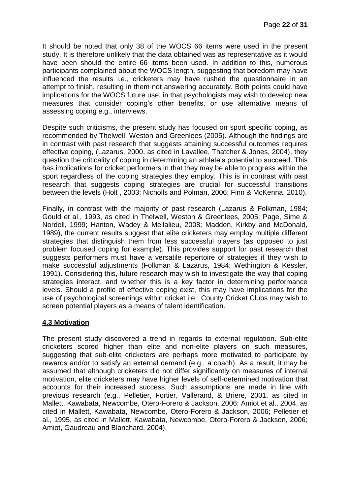It should be noted that only 38 of the WOCS 66 items were used in the present study. It is therefore unlikely that the data obtained was as representative as it would have been should the entire 66 items been used. In addition to this, numerous participants complained about the WOCS length, suggesting that boredom may have influenced the results i.e., cricketers may have rushed the questionnaire in an attempt to finish, resulting in them not answering accurately. Both points could have implications for the WOCS future use, in that psychologists may wish to develop new measures that consider coping's other benefits, or use alternative means of assessing coping e.g., interviews.

Despite such criticisms, the present study has focused on sport specific coping, as recommended by Thelwell, Weston and Greenlees (2005). Although the findings are in contrast with past research that suggests attaining successful outcomes requires effective coping, (Lazarus, 2000, as cited in Lavallee, Thatcher & Jones, 2004), they question the criticality of coping in determining an athlete's potential to succeed. This has implications for cricket performers in that they may be able to progress within the sport regardless of the coping strategies they employ. This is in contrast with past research that suggests coping strategies are crucial for successful transitions between the levels (Holt , 2003; Nicholls and Polman, 2006; Finn & McKenna, 2010).

Finally, in contrast with the majority of past research (Lazarus & Folkman, 1984; Gould et al., 1993, as cited in Thelwell, Weston & Greenlees, 2005; Page, Sime & Nordell, 1999; Hanton, Wadey & Mellalieu, 2008; Madden, Kirkby and McDonald, 1989), the current results suggest that elite cricketers may employ multiple different strategies that distinguish them from less successful players (as opposed to just problem focused coping for example). This provides support for past research that suggests performers must have a versatile repertoire of strategies if they wish to make successful adjustments (Folkman & Lazarus, 1984; Wethington & Kessler, 1991). Considering this, future research may wish to investigate the way that coping strategies interact, and whether this is a key factor in determining performance levels. Should a profile of effective coping exist, this may have implications for the use of psychological screenings within cricket i.e., County Cricket Clubs may wish to screen potential players as a means of talent identification.

# **4.3 Motivation**

The present study discovered a trend in regards to external regulation. Sub-elite cricketers scored higher than elite and non-elite players on such measures, suggesting that sub-elite cricketers are perhaps more motivated to participate by rewards and/or to satisfy an external demand (e.g., a coach). As a result, it may be assumed that although cricketers did not differ significantly on measures of internal motivation, elite cricketers may have higher levels of self-determined motivation that accounts for their increased success. Such assumptions are made in line with previous research (e.g., Pelletier, Fortier, Vallerand, & Briere, 2001, as cited in Mallett, Kawabata, Newcombe, Otero-Forero & Jackson, 2006; Amiot et al., 2004, as cited in Mallett, Kawabata, Newcombe, Otero-Forero & Jackson, 2006; Pelletier et al., 1995, as cited in Mallett, Kawabata, Newcombe, Otero-Forero & Jackson, 2006; Amiot, Gaudreau and Blanchard, 2004).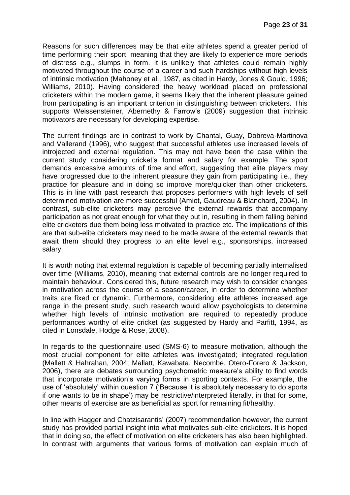Reasons for such differences may be that elite athletes spend a greater period of time performing their sport, meaning that they are likely to experience more periods of distress e.g., slumps in form. It is unlikely that athletes could remain highly motivated throughout the course of a career and such hardships without high levels of intrinsic motivation (Mahoney et al., 1987, as cited in Hardy, Jones & Gould, 1996; Williams, 2010). Having considered the heavy workload placed on professional cricketers within the modern game, it seems likely that the inherent pleasure gained from participating is an important criterion in distinguishing between cricketers. This supports Weissensteiner, Abernethy & Farrow's (2009) suggestion that intrinsic motivators are necessary for developing expertise.

The current findings are in contrast to work by Chantal, Guay, Dobreva-Martinova and Vallerand (1996), who suggest that successful athletes use increased levels of introjected and external regulation. This may not have been the case within the current study considering cricket's format and salary for example. The sport demands excessive amounts of time and effort, suggesting that elite players may have progressed due to the inherent pleasure they gain from participating i.e., they practice for pleasure and in doing so improve more/quicker than other cricketers. This is in line with past research that proposes performers with high levels of self determined motivation are more successful (Amiot, Gaudreau & Blanchard, 2004). In contrast, sub-elite cricketers may perceive the external rewards that accompany participation as not great enough for what they put in, resulting in them falling behind elite cricketers due them being less motivated to practice etc. The implications of this are that sub-elite cricketers may need to be made aware of the external rewards that await them should they progress to an elite level e.g., sponsorships, increased salary.

It is worth noting that external regulation is capable of becoming partially internalised over time (Williams, 2010), meaning that external controls are no longer required to maintain behaviour. Considered this, future research may wish to consider changes in motivation across the course of a season/career, in order to determine whether traits are fixed or dynamic. Furthermore, considering elite athletes increased age range in the present study, such research would allow psychologists to determine whether high levels of intrinsic motivation are required to repeatedly produce performances worthy of elite cricket (as suggested by Hardy and Parfitt, 1994, as cited in Lonsdale, Hodge & Rose, 2008).

In regards to the questionnaire used (SMS-6) to measure motivation, although the most crucial component for elite athletes was investigated; integrated regulation (Mallett & Hahrahan, 2004; Mallatt, Kawabata, Necombe, Otero-Forero & Jackson, 2006), there are debates surrounding psychometric measure's ability to find words that incorporate motivation's varying forms in sporting contexts. For example, the use of 'absolutely' within question 7 ('Because it is absolutely necessary to do sports if one wants to be in shape') may be restrictive/interpreted literally, in that for some, other means of exercise are as beneficial as sport for remaining fit/healthy.

In line with Hagger and Chatzisarantis' (2007) recommendation however, the current study has provided partial insight into what motivates sub-elite cricketers. It is hoped that in doing so, the effect of motivation on elite cricketers has also been highlighted. In contrast with arguments that various forms of motivation can explain much of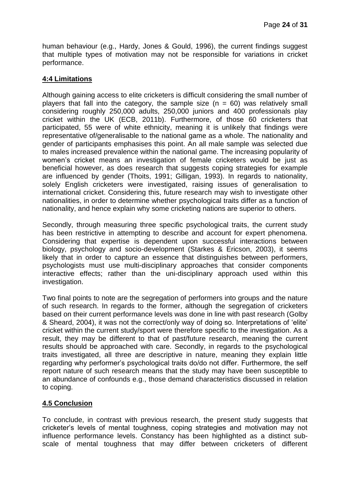human behaviour (e.g., Hardy, Jones & Gould, 1996), the current findings suggest that multiple types of motivation may not be responsible for variations in cricket performance.

# **4:4 Limitations**

Although gaining access to elite cricketers is difficult considering the small number of players that fall into the category, the sample size  $(n = 60)$  was relatively small considering roughly 250,000 adults, 250,000 juniors and 400 professionals play cricket within the UK (ECB, 2011b). Furthermore, of those 60 cricketers that participated, 55 were of white ethnicity, meaning it is unlikely that findings were representative of/generalisable to the national game as a whole. The nationality and gender of participants emphasises this point. An all male sample was selected due to males increased prevalence within the national game. The increasing popularity of women's cricket means an investigation of female cricketers would be just as beneficial however, as does research that suggests coping strategies for example are influenced by gender (Thoits, 1991; Gilligan, 1993). In regards to nationality, solely English cricketers were investigated, raising issues of generalisation to international cricket. Considering this, future research may wish to investigate other nationalities, in order to determine whether psychological traits differ as a function of nationality, and hence explain why some cricketing nations are superior to others.

Secondly, through measuring three specific psychological traits, the current study has been restrictive in attempting to describe and account for expert phenomena. Considering that expertise is dependent upon successful interactions between biology, psychology and socio-development (Starkes & Ericson, 2003), it seems likely that in order to capture an essence that distinguishes between performers, psychologists must use multi-disciplinary approaches that consider components interactive effects; rather than the uni-disciplinary approach used within this investigation.

Two final points to note are the segregation of performers into groups and the nature of such research. In regards to the former, although the segregation of cricketers based on their current performance levels was done in line with past research (Golby & Sheard, 2004), it was not the correct/only way of doing so. Interpretations of 'elite' cricket within the current study/sport were therefore specific to the investigation. As a result, they may be different to that of past/future research, meaning the current results should be approached with care. Secondly, in regards to the psychological traits investigated, all three are descriptive in nature, meaning they explain little regarding why performer's psychological traits do/do not differ. Furthermore, the self report nature of such research means that the study may have been susceptible to an abundance of confounds e.g., those demand characteristics discussed in relation to coping.

# **4.5 Conclusion**

To conclude, in contrast with previous research, the present study suggests that cricketer's levels of mental toughness, coping strategies and motivation may not influence performance levels. Constancy has been highlighted as a distinct subscale of mental toughness that may differ between cricketers of different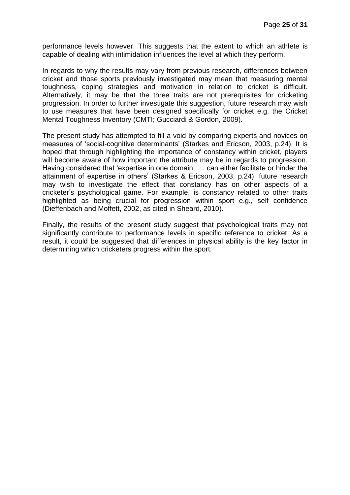performance levels however. This suggests that the extent to which an athlete is capable of dealing with intimidation influences the level at which they perform.

In regards to why the results may vary from previous research, differences between cricket and those sports previously investigated may mean that measuring mental toughness, coping strategies and motivation in relation to cricket is difficult. Alternatively, it may be that the three traits are not prerequisites for cricketing progression. In order to further investigate this suggestion, future research may wish to use measures that have been designed specifically for cricket e.g. the Cricket Mental Toughness Inventory (CMTI; Gucciardi & Gordon, 2009).

The present study has attempted to fill a void by comparing experts and novices on measures of 'social-cognitive determinants' (Starkes and Ericson, 2003, p.24). It is hoped that through highlighting the importance of constancy within cricket, players will become aware of how important the attribute may be in regards to progression. Having considered that 'expertise in one domain . . . can either facilitate or hinder the attainment of expertise in others' (Starkes & Ericson, 2003, p.24), future research may wish to investigate the effect that constancy has on other aspects of a cricketer's psychological game. For example, is constancy related to other traits highlighted as being crucial for progression within sport e.g., self confidence (Dieffenbach and Moffett, 2002, as cited in Sheard, 2010).

Finally, the results of the present study suggest that psychological traits may not significantly contribute to performance levels in specific reference to cricket. As a result, it could be suggested that differences in physical ability is the key factor in determining which cricketers progress within the sport.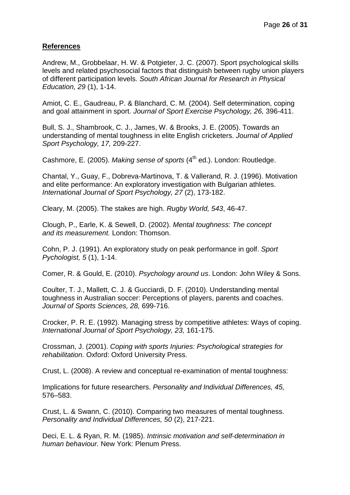# **References**

Andrew, M., Grobbelaar, H. W. & Potgieter, J. C. (2007). Sport psychological skills levels and related psychosocial factors that distinguish between rugby union players of different participation levels. *South African Journal for Research in Physical Education, 29* (1), 1-14.

Amiot, C. E., Gaudreau, P. & Blanchard, C. M. (2004). Self determination, coping and goal attainment in sport. *Journal of Sport Exercise Psychology, 26,* 396-411.

Bull, S. J., Shambrook, C. J., James, W. & Brooks, J. E. (2005). Towards an understanding of mental toughness in elite English cricketers. *Journal of Applied Sport Psychology, 17,* 209-227.

Cashmore, E. (2005). *Making sense of sports* (4<sup>th</sup> ed.). London: Routledge.

Chantal, Y., Guay, F., Dobreva-Martinova, T. & Vallerand, R. J. (1996). Motivation and elite performance: An exploratory investigation with Bulgarian athletes. *International Journal of Sport Psychology, 27* (2), 173-182.

Cleary, M. (2005). The stakes are high. *[Rugby World,](javascript:__doLinkPostBack() 543*, 46-47.

Clough, P., Earle, K. & Sewell, D. (2002). *Mental toughness: The concept and its measurement.* London: Thomson.

Cohn, P. J. (1991). An exploratory study on peak performance in golf. *Sport Pychologist, 5* (1), 1-14.

Comer, R. & Gould, E. (2010). *Psychology around us*. London: John Wiley & Sons.

Coulter, T. J., Mallett, C. J. & Gucciardi, D. F. (2010). Understanding mental toughness in Australian soccer: Perceptions of players, parents and coaches. *Journal of Sports Sciences, 28,* 699-716.

Crocker, P. R. E. (1992). Managing stress by competitive athletes: Ways of coping. *International Journal of Sport Psychology, 23,* 161-175.

Crossman, J. (2001). *Coping with sports Injuries: Psychological strategies for rehabilitation.* Oxford: Oxford University Press.

Crust, L. (2008). A review and conceptual re-examination of mental toughness:

Implications for future researchers. *Personality and Individual Differences, 45,* 576–583.

Crust, L. & Swann, C. (2010). Comparing two measures of mental toughness. *Personality and Individual Differences, 50* (2), 217-221.

Deci, E. L. & Ryan, R. M. (1985). *Intrinsic motivation and self-determination in human behaviour.* New York: Plenum Press.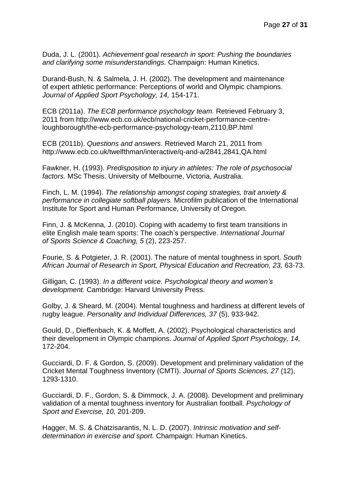Duda, J. L. (2001). *Achievement goal research in sport: Pushing the boundaries and clarifying some misunderstandings.* Champaign: Human Kinetics.

Durand-Bush, N. & Salmela, J. H. (2002). The development and maintenance of expert athletic performance: Perceptions of world and Olympic champions. *Journal of Applied Sport Psychology, 14,* 154-171.

ECB (2011a). *The ECB performance psychology team.* Retrieved February 3, 2011 from http://www.ecb.co.uk/ecb/national-cricket-performance-centreloughborough/the-ecb-performance-psychology-team,2110,BP.html

ECB (2011b). *Questions and answers*. Retrieved March 21, 2011 from http://www.ecb.co.uk/twelfthman/interactive/q-and-a/2841,2841,QA.html

Fawkner, H. (1993). *Predisposition to injury in athletes: The role of psychosocial factors.* MSc Thesis. University of Melbourne, Victoria, Australia.

Finch, L. M. (1994). *The relationship amongst coping strategies, trait anxiety & performance in collegiate softball players.* Microfilm publication of the International Institute for Sport and Human Performance, University of Oregon.

Finn, J. & McKenna, J. (2010). Coping with academy to first team transitions in elite English male team sports: The coach's perspective. *International Journal of Sports Science & Coaching, 5* (2), 223-257.

Fourie, S. & Potgieter, J. R. (2001). The nature of mental toughness in sport. *South African Journal of Research in Sport, Physical Education and Recreation, 23,* 63-73.

Gilligan, C. (1993). *In a different voice. Psychological theory and women's development.* Cambridge: Harvard University Press.

Golby, J. & Sheard, M. (2004). Mental toughness and hardiness at different levels of rugby league. *Personality and Individual Differences, 37* (5), 933-942.

Gould, D., Dieffenbach, K. & Moffett, A. (2002). Psychological characteristics and their development in Olympic champions. *Journal of Applied Sport Psychology, 14,*  172-204.

Gucciardi, D. F. & Gordon, S. (2009). Development and preliminary validation of the Cricket Mental Toughness Inventory (CMTI). *Journal of Sports Sciences, 27* (12), 1293-1310.

Gucciardi, D. F., Gordon, S. & Dimmock, J. A. (2008). Development and preliminary validation of a mental toughness inventory for Australian football. *Psychology of Sport and Exercise, 10,* 201-209.

Hagger, M. S. & Chatzisarantis, N. L. D. (2007). *Intrinsic motivation and selfdetermination in exercise and sport.* Champaign: Human Kinetics.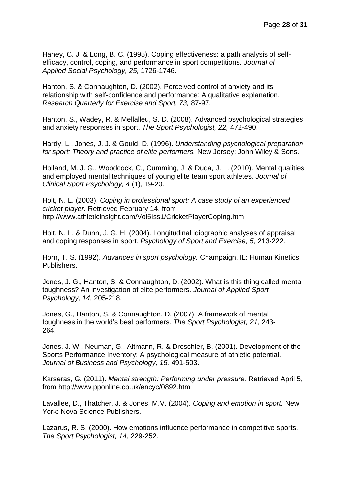Haney, C. J. & Long, B. C. (1995). Coping effectiveness: a path analysis of selfefficacy, control, coping, and performance in sport competitions. *Journal of Applied Social Psychology, 25,* 1726-1746.

Hanton, S. & Connaughton, D. (2002). Perceived control of anxiety and its relationship with self-confidence and performance: A qualitative explanation. *Research Quarterly for Exercise and Sport, 73,* 87-97.

Hanton, S., Wadey, R. & Mellalleu, S. D. (2008). Advanced psychological strategies and anxiety responses in sport. *The Sport Psychologist, 22,* 472-490.

Hardy, L., Jones, J. J. & Gould, D. (1996). *Understanding psychological preparation for sport: Theory and practice of elite performers.* New Jersey: John Wiley & Sons.

Holland, M. J. G., Woodcock, C., Cumming, J. & Duda, J. L. (2010). Mental qualities and employed mental techniques of young elite team sport athletes. *Journal of Clinical Sport Psychology, 4* (1), 19-20.

Holt, N. L. (2003). *Coping in professional sport: A case study of an experienced cricket player.* Retrieved February 14, from http://www.athleticinsight.com/Vol5Iss1/CricketPlayerCoping.htm

Holt, N. L. & Dunn, J. G. H. (2004). Longitudinal idiographic analyses of appraisal and coping responses in sport. *Psychology of Sport and Exercise, 5,* 213-222.

Horn, T. S. (1992). *Advances in sport psychology.* Champaign, IL: Human Kinetics Publishers.

Jones, J. G., Hanton, S. & Connaughton, D. (2002). What is this thing called mental toughness? An investigation of elite performers. *Journal of Applied Sport Psychology, 14,* 205-218.

Jones, G., Hanton, S. & Connaughton, D. (2007). A framework of mental toughness in the world's best performers. *The Sport Psychologist, 21*, 243- 264.

Jones, J. W., Neuman, G., Altmann, R. & Dreschler, B. (2001). Development of the Sports Performance Inventory: A psychological measure of athletic potential. *Journal of Business and Psychology, 15,* 491-503.

Karseras, G. (2011). *Mental strength: Performing under pressure.* Retrieved April 5, from http://www.pponline.co.uk/encyc/0892.htm

Lavallee, D., Thatcher, J. & Jones, M.V. (2004). *Coping and emotion in sport.* New York: Nova Science Publishers.

Lazarus, R. S. (2000). How emotions influence performance in competitive sports. *The Sport Psychologist, 14*, 229-252.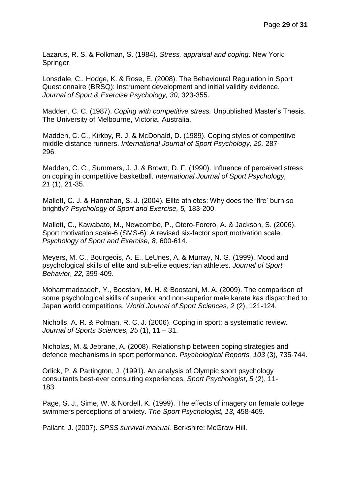Lazarus, R. S. & Folkman, S. (1984). *Stress, appraisal and coping*. New York: Springer.

Lonsdale, C., Hodge, K. & Rose, E. (2008). The Behavioural Regulation in Sport Questionnaire (BRSQ): Instrument development and initial validity evidence. *Journal of Sport & Exercise Psychology, 30,* 323-355.

Madden, C. C. (1987). *Coping with competitive stress.* Unpublished Master's Thesis. The University of Melbourne, Victoria, Australia.

 Madden, C. C., Kirkby, R. J. & McDonald, D. (1989). Coping styles of competitive middle distance runners. *International Journal of Sport Psychology, 20,* 287- 296.

 Madden, C. C., Summers, J. J. & Brown, D. F. (1990). Influence of perceived stress on coping in competitive basketball. *International Journal of Sport Psychology, 21* (1), 21-35.

 Mallett, C. J. & Hanrahan, S. J. (2004). Elite athletes: Why does the 'fire' burn so brightly? *Psychology of Sport and Exercise, 5,* 183-200.

 Mallett, C., Kawabato, M., Newcombe, P., Otero-Forero, A. & Jackson, S. (2006). Sport motivation scale-6 (SMS-6): A revised six-factor sport motivation scale. *Psychology of Sport and Exercise, 8,* 600-614.

[Meyers, M. C.,](javascript:__doLinkPostBack() [Bourgeois, A. E.,](javascript:__doLinkPostBack() [LeUnes, A.](javascript:__doLinkPostBack() & [Murray, N. G.](javascript:__doLinkPostBack() (1999). Mood and psychological skills of elite and sub-elite equestrian athletes. *[Journal of Sport](javascript:__doLinkPostBack()  [Behavior,](javascript:__doLinkPostBack() 22,* 399-409.

Mohammadzadeh, Y., Boostani, M. H. & Boostani, M. A. (2009). The comparison of some psychological skills of superior and non-superior male karate kas dispatched to Japan world competitions. *World Journal of Sport Sciences, 2* (2), 121-124.

Nicholls, A. R. & Polman, R. C. J. (2006). Coping in sport; a systematic review. *Journal of Sports Sciences, 25* (1), 11 – 31.

Nicholas, M. & Jebrane, A. (2008). Relationship between coping strategies and defence mechanisms in sport performance. *Psychological Reports, 103* (3), 735-744.

Orlick, P. & Partington, J. (1991). An analysis of Olympic sport psychology consultants best-ever consulting experiences. *[Sport Psychologist](javascript:__doLinkPostBack()*, *5* (2), 11- 183.

Page, S. J., Sime, W. & Nordell, K. (1999). The effects of imagery on female college swimmers perceptions of anxiety. *The Sport Psychologist, 13,* 458-469.

Pallant, J. (2007). *SPSS survival manual.* Berkshire: McGraw-Hill.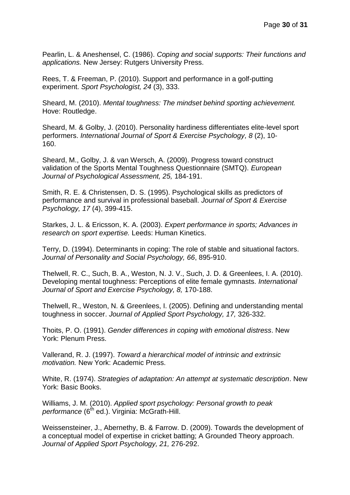Pearlin, L. & Aneshensel, C. (1986). *Coping and social supports: Their functions and applications.* New Jersey: Rutgers University Press.

Rees, T. & Freeman, P. (2010). Support and performance in a golf-putting experiment. *Sport Psychologist, 24* (3), 333.

Sheard, M. (2010). *Mental toughness: The mindset behind sporting achievement.* Hove: Routledge.

Sheard, M. & Golby, J. (2010). Personality hardiness differentiates elite-level sport performers. *[International Journal of Sport & Exercise Psychology,](javascript:__doLinkPostBack() 8* (2), 10- 160.

Sheard, M., Golby, J. & van Wersch, A. (2009). Progress toward construct validation of the Sports Mental Toughness Questionnaire (SMTQ). *European Journal of Psychological Assessment, 25,* 184-191.

Smith, R. E. & Christensen, D. S. (1995). Psychological skills as predictors of performance and survival in professional baseball. *Journal of Sport & Exercise Psychology, 17* (4), 399-415.

Starkes, J. L. & Ericsson, K. A. (2003). *Expert performance in sports; Advances in research on sport expertise.* Leeds: Human Kinetics.

Terry, D. (1994). Determinants in coping: The role of stable and situational factors. *Journal of Personality and Social Psychology, 66*, 895-910.

Thelwell, R. C., Such, B. A., Weston, N. J. V., Such, J. D. & Greenlees, I. A. (2010). Developing mental toughness: Perceptions of elite female gymnasts. *International Journal of Sport and Exercise Psychology, 8,* 170-188.

Thelwell, R., Weston, N. & Greenlees, I. (2005). Defining and understanding mental toughness in soccer. *Journal of Applied Sport Psychology, 17,* 326-332.

Thoits, P. O. (1991). *Gender differences in coping with emotional distress*. New York: Plenum Press.

Vallerand, R. J. (1997). *Toward a hierarchical model of intrinsic and extrinsic motivation.* New York: Academic Press.

White, R. (1974). *Strategies of adaptation: An attempt at systematic description*. New York: Basic Books.

Williams, J. M. (2010). *Applied sport psychology: Personal growth to peak performance* (6<sup>th</sup> ed.). Virginia: McGrath-Hill.

Weissensteiner, J., Abernethy, B. & Farrow. D. (2009). Towards the development of a conceptual model of expertise in cricket batting; A Grounded Theory approach. *Journal of Applied Sport Psychology, 21,* 276-292.